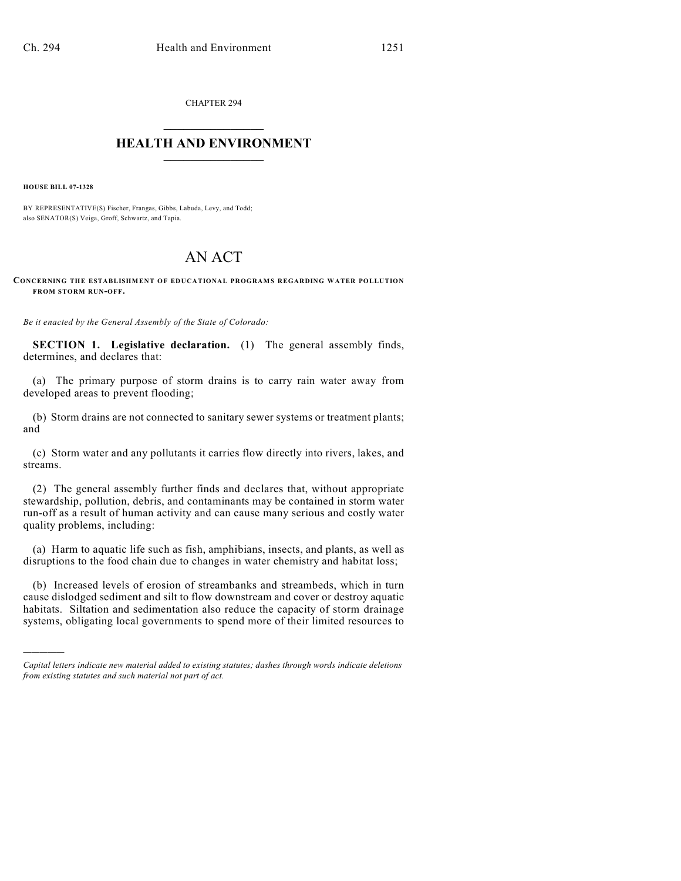CHAPTER 294  $\mathcal{L}_\text{max}$  . The set of the set of the set of the set of the set of the set of the set of the set of the set of the set of the set of the set of the set of the set of the set of the set of the set of the set of the set

## **HEALTH AND ENVIRONMENT**  $\_$

**HOUSE BILL 07-1328**

)))))

BY REPRESENTATIVE(S) Fischer, Frangas, Gibbs, Labuda, Levy, and Todd; also SENATOR(S) Veiga, Groff, Schwartz, and Tapia.

## AN ACT

**CONCERNING THE ESTABLISHMENT OF EDUCATIONAL PROGRAMS REGARDING WATER POLLUTION FROM STORM RUN-OFF.**

*Be it enacted by the General Assembly of the State of Colorado:*

**SECTION 1. Legislative declaration.** (1) The general assembly finds, determines, and declares that:

(a) The primary purpose of storm drains is to carry rain water away from developed areas to prevent flooding;

(b) Storm drains are not connected to sanitary sewer systems or treatment plants; and

(c) Storm water and any pollutants it carries flow directly into rivers, lakes, and streams.

(2) The general assembly further finds and declares that, without appropriate stewardship, pollution, debris, and contaminants may be contained in storm water run-off as a result of human activity and can cause many serious and costly water quality problems, including:

(a) Harm to aquatic life such as fish, amphibians, insects, and plants, as well as disruptions to the food chain due to changes in water chemistry and habitat loss;

(b) Increased levels of erosion of streambanks and streambeds, which in turn cause dislodged sediment and silt to flow downstream and cover or destroy aquatic habitats. Siltation and sedimentation also reduce the capacity of storm drainage systems, obligating local governments to spend more of their limited resources to

*Capital letters indicate new material added to existing statutes; dashes through words indicate deletions from existing statutes and such material not part of act.*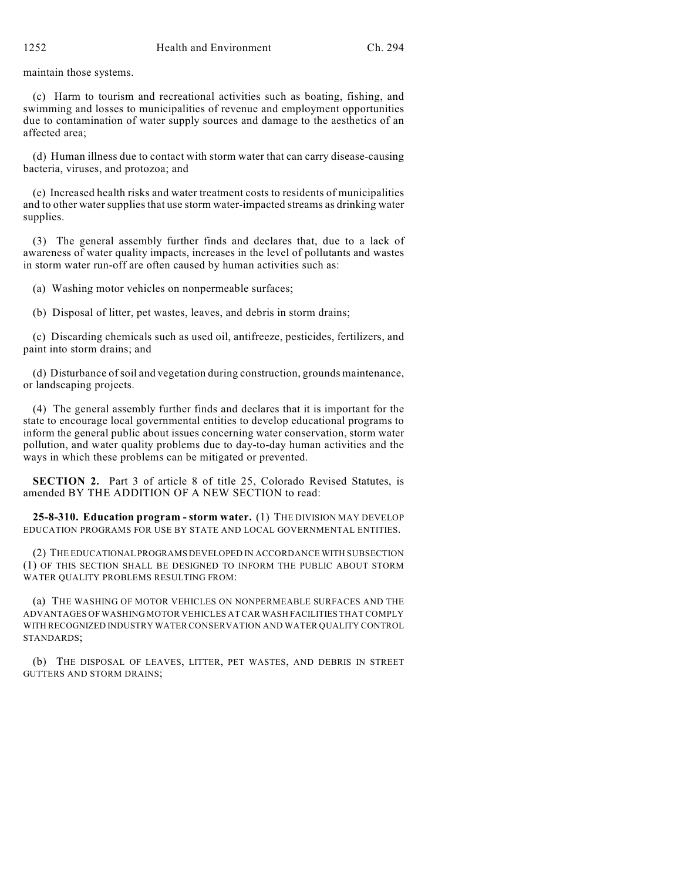maintain those systems.

(c) Harm to tourism and recreational activities such as boating, fishing, and swimming and losses to municipalities of revenue and employment opportunities due to contamination of water supply sources and damage to the aesthetics of an affected area;

(d) Human illness due to contact with storm water that can carry disease-causing bacteria, viruses, and protozoa; and

(e) Increased health risks and water treatment costs to residents of municipalities and to other water supplies that use storm water-impacted streams as drinking water supplies.

(3) The general assembly further finds and declares that, due to a lack of awareness of water quality impacts, increases in the level of pollutants and wastes in storm water run-off are often caused by human activities such as:

(a) Washing motor vehicles on nonpermeable surfaces;

(b) Disposal of litter, pet wastes, leaves, and debris in storm drains;

(c) Discarding chemicals such as used oil, antifreeze, pesticides, fertilizers, and paint into storm drains; and

(d) Disturbance of soil and vegetation during construction, grounds maintenance, or landscaping projects.

(4) The general assembly further finds and declares that it is important for the state to encourage local governmental entities to develop educational programs to inform the general public about issues concerning water conservation, storm water pollution, and water quality problems due to day-to-day human activities and the ways in which these problems can be mitigated or prevented.

**SECTION 2.** Part 3 of article 8 of title 25, Colorado Revised Statutes, is amended BY THE ADDITION OF A NEW SECTION to read:

**25-8-310. Education program - storm water.** (1) THE DIVISION MAY DEVELOP EDUCATION PROGRAMS FOR USE BY STATE AND LOCAL GOVERNMENTAL ENTITIES.

(2) THE EDUCATIONAL PROGRAMS DEVELOPED IN ACCORDANCE WITH SUBSECTION (1) OF THIS SECTION SHALL BE DESIGNED TO INFORM THE PUBLIC ABOUT STORM WATER QUALITY PROBLEMS RESULTING FROM:

(a) THE WASHING OF MOTOR VEHICLES ON NONPERMEABLE SURFACES AND THE ADVANTAGES OF WASHING MOTOR VEHICLES AT CAR WASH FACILITIES THAT COMPLY WITH RECOGNIZED INDUSTRY WATER CONSERVATION AND WATER QUALITY CONTROL STANDARDS;

(b) THE DISPOSAL OF LEAVES, LITTER, PET WASTES, AND DEBRIS IN STREET GUTTERS AND STORM DRAINS;